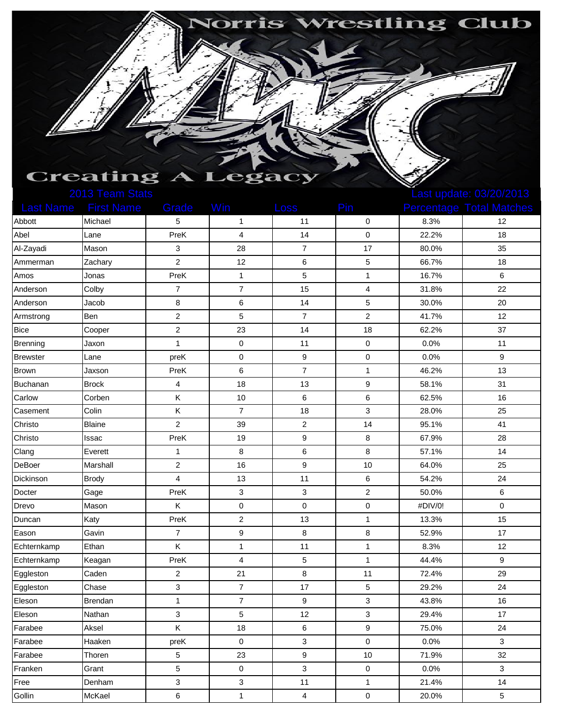| <b>Norris Wrestling Club</b> |
|------------------------------|
|                              |
|                              |
|                              |
|                              |
|                              |
|                              |
|                              |
|                              |
|                              |
|                              |
|                              |
|                              |
|                              |
|                              |
| <b>Creating A Lega</b>       |

|                 | <b>LUTU LUCHIL UICHU</b>    |                |                |                           |                         | Last apaalo. Voizuizu id |                                 |  |
|-----------------|-----------------------------|----------------|----------------|---------------------------|-------------------------|--------------------------|---------------------------------|--|
|                 | <b>Last Name</b> First Name | Grade          | Win            | Loss                      | Pin                     |                          | <b>Percentage Total Matches</b> |  |
| Abbott          | Michael                     | 5              | $\mathbf{1}$   | 11                        | 0                       | 8.3%                     | 12                              |  |
| Abel            | Lane                        | PreK           | 4              | 14                        | $\pmb{0}$               | 22.2%                    | 18                              |  |
| Al-Zayadi       | Mason                       | 3              | 28             | $\overline{7}$            | 17                      | 80.0%                    | 35                              |  |
| Ammerman        | Zachary                     | $\overline{c}$ | 12             | 6                         | 5                       | 66.7%                    | 18                              |  |
| Amos            | Jonas                       | PreK           | $\mathbf{1}$   | $\mathbf 5$               | $\mathbf{1}$            | 16.7%                    | 6                               |  |
| Anderson        | Colby                       | 7              | $\overline{7}$ | 15                        | $\overline{\mathbf{4}}$ | 31.8%                    | 22                              |  |
| Anderson        | Jacob                       | 8              | $\,6$          | 14                        | $\mathbf 5$             | 30.0%                    | 20                              |  |
| Armstrong       | Ben                         | 2              | 5              | $\overline{7}$            | $\overline{\mathbf{c}}$ | 41.7%                    | 12                              |  |
| <b>Bice</b>     | Cooper                      | $\overline{c}$ | 23             | 14                        | 18                      | 62.2%                    | 37                              |  |
| Brenning        | Jaxon                       | $\mathbf{1}$   | 0              | 11                        | 0                       | 0.0%                     | 11                              |  |
| <b>Brewster</b> | Lane                        | preK           | $\pmb{0}$      | 9                         | $\pmb{0}$               | 0.0%                     | $\boldsymbol{9}$                |  |
| <b>Brown</b>    | Jaxson                      | PreK           | 6              | $\overline{7}$            | $\mathbf{1}$            | 46.2%                    | 13                              |  |
| Buchanan        | <b>Brock</b>                | 4              | 18             | 13                        | $\boldsymbol{9}$        | 58.1%                    | 31                              |  |
| Carlow          | Corben                      | Κ              | 10             | 6                         | 6                       | 62.5%                    | 16                              |  |
| Casement        | Colin                       | Κ              | $\overline{7}$ | 18                        | 3                       | 28.0%                    | 25                              |  |
| Christo         | <b>Blaine</b>               | $\overline{c}$ | 39             | $\overline{c}$            | 14                      | 95.1%                    | 41                              |  |
| Christo         | Issac                       | PreK           | 19             | $\boldsymbol{9}$          | 8                       | 67.9%                    | 28                              |  |
| Clang           | Everett                     | 1              | 8              | 6                         | 8                       | 57.1%                    | 14                              |  |
| DeBoer          | Marshall                    | $\overline{c}$ | 16             | $\boldsymbol{9}$          | 10                      | 64.0%                    | 25                              |  |
| Dickinson       | <b>Brody</b>                | 4              | 13             | 11                        | 6                       | 54.2%                    | 24                              |  |
| Docter          | Gage                        | PreK           | 3              | $\ensuremath{\mathsf{3}}$ | $\boldsymbol{2}$        | 50.0%                    | 6                               |  |
| Drevo           | Mason                       | Κ              | 0              | 0                         | 0                       | #DIV/0!                  | $\pmb{0}$                       |  |
| Duncan          | Katy                        | PreK           | $\overline{c}$ | 13                        | $\mathbf{1}$            | 13.3%                    | 15                              |  |
| Eason           | Gavin                       | 7              | 9              | 8                         | 8                       | 52.9%                    | 17                              |  |
| Echternkamp     | Ethan                       | Κ              | $\mathbf{1}$   | 11                        | $\mathbf{1}$            | 8.3%                     | 12                              |  |
| Echternkamp     | Keagan                      | PreK           | 4              | 5                         | $\mathbf{1}$            | 44.4%                    | $\boldsymbol{9}$                |  |
| Eggleston       | Caden                       | $\overline{c}$ | 21             | 8                         | 11                      | 72.4%                    | 29                              |  |
| Eggleston       | Chase                       | 3              | $\overline{7}$ | 17                        | $\mathbf 5$             | 29.2%                    | 24                              |  |
| Eleson          | Brendan                     | $\mathbf{1}$   | $\overline{7}$ | $\boldsymbol{9}$          | 3                       | 43.8%                    | 16                              |  |
| Eleson          | Nathan                      | 3              | 5              | 12                        | 3                       | 29.4%                    | 17                              |  |
| Farabee         | Aksel                       | K              | 18             | 6                         | 9                       | 75.0%                    | 24                              |  |
| Farabee         | Haaken                      | preK           | 0              | 3                         | $\mathbf 0$             | 0.0%                     | 3                               |  |
| Farabee         | Thoren                      | 5              | 23             | 9                         | 10                      | 71.9%                    | 32                              |  |
| Franken         | Grant                       | 5              | 0              | 3                         | 0                       | 0.0%                     | 3                               |  |
| Free            | Denham                      | 3              | 3              | 11                        | $\mathbf 1$             | 21.4%                    | 14                              |  |
| Gollin          | McKael                      | 6              | $\mathbf{1}$   | $\overline{\mathbf{4}}$   | $\pmb{0}$               | 20.0%                    | $\sqrt{5}$                      |  |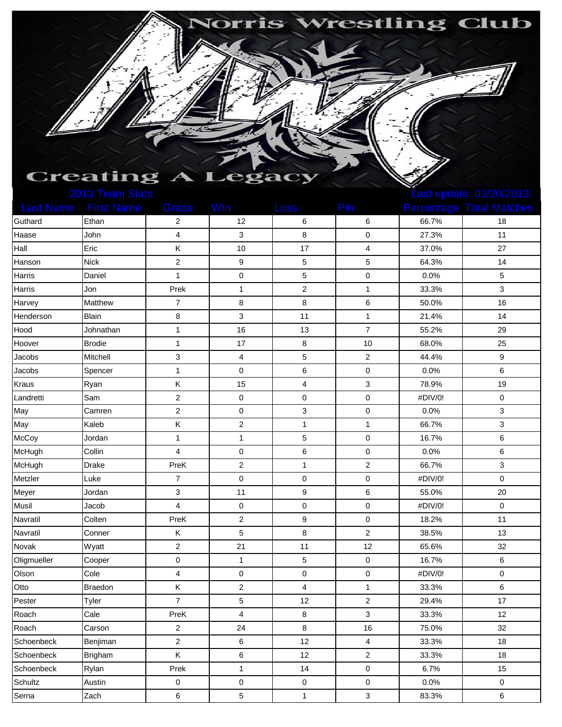| <b>Norris Wrestling Club</b> |
|------------------------------|
|                              |
|                              |
|                              |
|                              |
|                              |
|                              |
|                              |
|                              |
| <b>Creating A Legac</b>      |

|             | <b>LUTU I GAILLOIGIO</b>    |                         |                         |                  |                         | Last apudite. VUILUILUTU |                                 |  |
|-------------|-----------------------------|-------------------------|-------------------------|------------------|-------------------------|--------------------------|---------------------------------|--|
|             | <b>Last Name</b> First Name | Grade                   | Win                     | <b>Loss</b>      | Pin                     |                          | <b>Percentage Total Matches</b> |  |
| Guthard     | Ethan                       | 2                       | 12                      | 6                | 6                       | 66.7%                    | 18                              |  |
| Haase       | John                        | 4                       | 3                       | 8                | $\pmb{0}$               | 27.3%                    | 11                              |  |
| Hall        | Eric                        | Κ                       | 10                      | 17               | 4                       | 37.0%                    | 27                              |  |
| Hanson      | <b>Nick</b>                 | $\overline{c}$          | 9                       | 5                | $\mathbf 5$             | 64.3%                    | 14                              |  |
| Harris      | Daniel                      | $\mathbf{1}$            | 0                       | 5                | $\pmb{0}$               | 0.0%                     | $\mathbf 5$                     |  |
| Harris      | Jon                         | Prek                    | $\mathbf{1}$            | $\overline{c}$   | $\mathbf{1}$            | 33.3%                    | 3                               |  |
| Harvey      | Matthew                     | $\overline{7}$          | 8                       | 8                | $\,6$                   | 50.0%                    | 16                              |  |
| Henderson   | <b>Blain</b>                | 8                       | 3                       | 11               | $\mathbf{1}$            | 21.4%                    | 14                              |  |
| Hood        | Johnathan                   | $\mathbf{1}$            | 16                      | 13               | $\overline{7}$          | 55.2%                    | 29                              |  |
| Hoover      | <b>Brodie</b>               | 1                       | 17                      | 8                | 10                      | 68.0%                    | 25                              |  |
| Jacobs      | Mitchell                    | 3                       | 4                       | 5                | $\overline{\mathbf{c}}$ | 44.4%                    | 9                               |  |
| Jacobs      | Spencer                     | 1                       | 0                       | 6                | $\pmb{0}$               | 0.0%                     | 6                               |  |
| Kraus       | Ryan                        | Κ                       | 15                      | 4                | 3                       | 78.9%                    | 19                              |  |
| Landretti   | Sam                         | $\overline{2}$          | $\pmb{0}$               | 0                | $\pmb{0}$               | #DIV/0!                  | $\pmb{0}$                       |  |
| May         | Camren                      | $\overline{c}$          | $\pmb{0}$               | 3                | $\mathbf 0$             | 0.0%                     | $\sqrt{3}$                      |  |
| May         | Kaleb                       | Κ                       | 2                       | $\mathbf{1}$     | $\mathbf{1}$            | 66.7%                    | 3                               |  |
| McCoy       | Jordan                      | $\mathbf{1}$            | $\mathbf{1}$            | 5                | $\pmb{0}$               | 16.7%                    | $\,6\,$                         |  |
| McHugh      | Collin                      | 4                       | 0                       | 6                | $\pmb{0}$               | 0.0%                     | 6                               |  |
| McHugh      | Drake                       | PreK                    | $\boldsymbol{2}$        | $\mathbf{1}$     | $\boldsymbol{2}$        | 66.7%                    | 3                               |  |
| Metzler     | Luke                        | $\overline{7}$          | $\pmb{0}$               | 0                | $\pmb{0}$               | #DIV/0!                  | $\pmb{0}$                       |  |
| Meyer       | Jordan                      | 3                       | 11                      | $\boldsymbol{9}$ | $\,6$                   | 55.0%                    | 20                              |  |
| Musil       | Jacob                       | 4                       | 0                       | 0                | $\pmb{0}$               | #DIV/0!                  | $\pmb{0}$                       |  |
| Navratil    | Colten                      | PreK                    | $\overline{c}$          | 9                | 0                       | 18.2%                    | 11                              |  |
| Navratil    | Conner                      | Κ                       | 5                       | 8                | $\overline{c}$          | 38.5%                    | 13                              |  |
| Novak       | Wyatt                       | $\overline{\mathbf{c}}$ | 21                      | 11               | 12                      | 65.6%                    | 32                              |  |
| Oligmueller | Cooper                      | $\pmb{0}$               | $\mathbf{1}$            | 5                | $\pmb{0}$               | 16.7%                    | 6                               |  |
| Olson       | Cole                        | 4                       | $\pmb{0}$               | 0                | $\pmb{0}$               | #DIV/0!                  | $\pmb{0}$                       |  |
| Otto        | Braedon                     | Κ                       | $\overline{\mathbf{c}}$ | 4                | $\mathbf{1}$            | 33.3%                    | $\,6\,$                         |  |
| Pester      | Tyler                       | $\overline{7}$          | 5                       | 12               | $\overline{c}$          | 29.4%                    | 17                              |  |
| Roach       | Cale                        | PreK                    | 4                       | 8                | 3                       | 33.3%                    | 12                              |  |
| Roach       | Carson                      | $\overline{c}$          | 24                      | $\bf 8$          | 16                      | 75.0%                    | 32                              |  |
| Schoenbeck  | Benjiman                    | $\overline{c}$          | 6                       | 12               | $\overline{\mathbf{4}}$ | 33.3%                    | 18                              |  |
| Schoenbeck  | Brigham                     | Κ                       | 6                       | 12               | $\overline{c}$          | 33.3%                    | 18                              |  |
| Schoenbeck  | Rylan                       | Prek                    | $\mathbf{1}$            | 14               | 0                       | 6.7%                     | 15                              |  |
| Schultz     | Austin                      | 0                       | 0                       | $\pmb{0}$        | 0                       | 0.0%                     | $\mathbf 0$                     |  |
| Serna       | Zach                        | 6                       | $\mathbf 5$             | $\mathbf 1$      | 3                       | 83.3%                    | $\,6\,$                         |  |